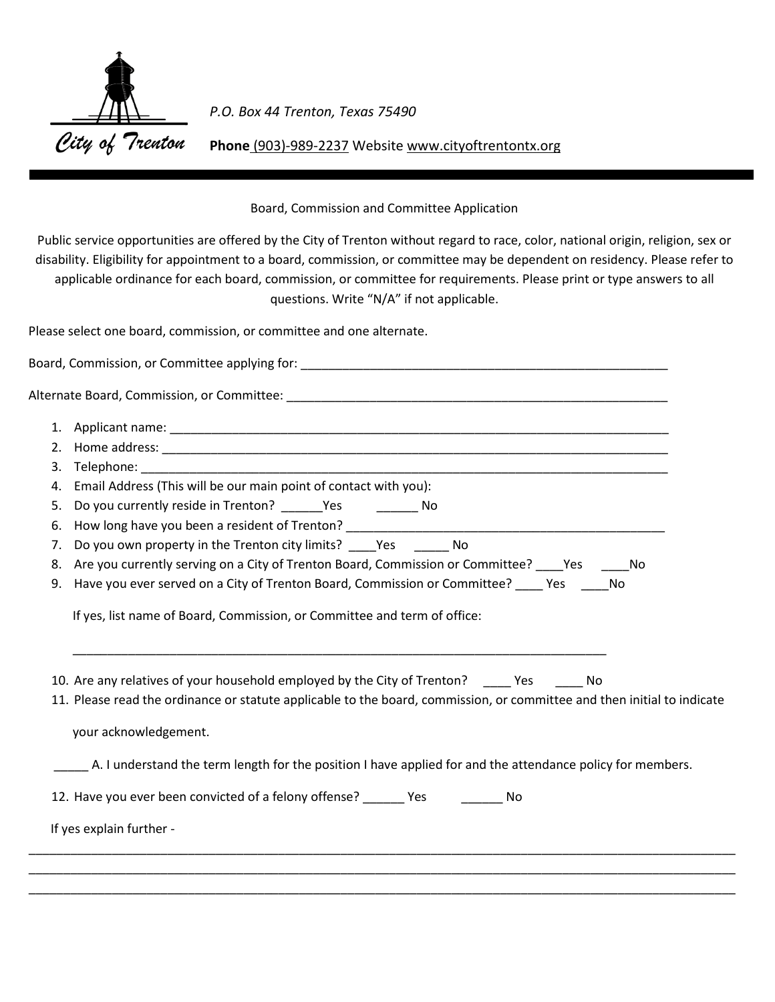

*P.O. Box 44 Trenton, Texas 75490*

**Phone** (903)-989-2237 Website www.cityoftrentontx.org

## Board, Commission and Committee Application

Public service opportunities are offered by the City of Trenton without regard to race, color, national origin, religion, sex or disability. Eligibility for appointment to a board, commission, or committee may be dependent on residency. Please refer to applicable ordinance for each board, commission, or committee for requirements. Please print or type answers to all questions. Write "N/A" if not applicable.

Please select one board, commission, or committee and one alternate.

| 2. |                                                                                                                                                                           |
|----|---------------------------------------------------------------------------------------------------------------------------------------------------------------------------|
| 3. |                                                                                                                                                                           |
| 4. | Email Address (This will be our main point of contact with you):                                                                                                          |
| 5. | Do you currently reside in Trenton? _______Yes ____________ No                                                                                                            |
| 6. |                                                                                                                                                                           |
| 7. | Do you own property in the Trenton city limits? _____ Yes _______ No                                                                                                      |
| 8. | Are you currently serving on a City of Trenton Board, Commission or Committee? Yes _____ No                                                                               |
|    |                                                                                                                                                                           |
| 9. | Have you ever served on a City of Trenton Board, Commission or Committee? _____ Yes ______ No<br>If yes, list name of Board, Commission, or Committee and term of office: |
|    |                                                                                                                                                                           |
|    | 10. Are any relatives of your household employed by the City of Trenton? Yes No                                                                                           |
|    | 11. Please read the ordinance or statute applicable to the board, commission, or committee and then initial to indicate                                                   |
|    | your acknowledgement.                                                                                                                                                     |
|    | A. I understand the term length for the position I have applied for and the attendance policy for members.                                                                |
|    | 12. Have you ever been convicted of a felony offense? ______ Yes ________ No                                                                                              |